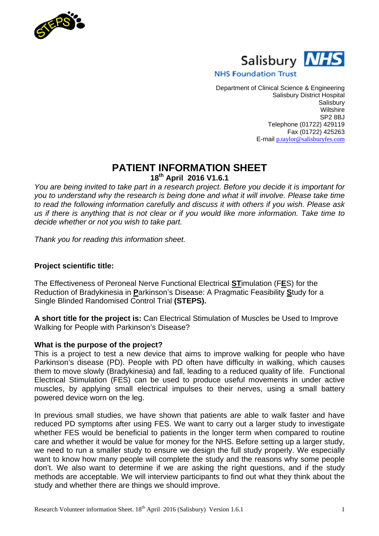



## **NHS Foundation Trust**

Department of Clinical Science & Engineering Salisbury District Hospital **Salisbury Wiltshire** SP2 8BJ Telephone (01722) 429119 Fax (01722) 425263 E-mail p.taylor@salisburyfes.com

# **PATIENT INFORMATION SHEET**

**18th April 2016 V1.6.1**

*You are being invited to take part in a research project. Before you decide it is important for you to understand why the research is being done and what it will involve. Please take time to read the following information carefully and discuss it with others if you wish. Please ask us if there is anything that is not clear or if you would like more information. Take time to decide whether or not you wish to take part.*

*Thank you for reading this information sheet.*

## **Project scientific title:**

The Effectiveness of Peroneal Nerve Functional Electrical **ST**imulation (F**E**S) for the Reduction of Bradykinesia in **P**arkinson's Disease: A Pragmatic Feasibility **S**tudy for a Single Blinded Randomised Control Trial **(STEPS).**

**A short title for the project is:** Can Electrical Stimulation of Muscles be Used to Improve Walking for People with Parkinson's Disease?

### **What is the purpose of the project?**

This is a project to test a new device that aims to improve walking for people who have Parkinson's disease (PD). People with PD often have difficulty in walking, which causes them to move slowly (Bradykinesia) and fall, leading to a reduced quality of life. Functional Electrical Stimulation (FES) can be used to produce useful movements in under active muscles, by applying small electrical impulses to their nerves, using a small battery powered device worn on the leg.

In previous small studies, we have shown that patients are able to walk faster and have reduced PD symptoms after using FES. We want to carry out a larger study to investigate whether FES would be beneficial to patients in the longer term when compared to routine care and whether it would be value for money for the NHS. Before setting up a larger study, we need to run a smaller study to ensure we design the full study properly. We especially want to know how many people will complete the study and the reasons why some people don't. We also want to determine if we are asking the right questions, and if the study methods are acceptable. We will interview participants to find out what they think about the study and whether there are things we should improve.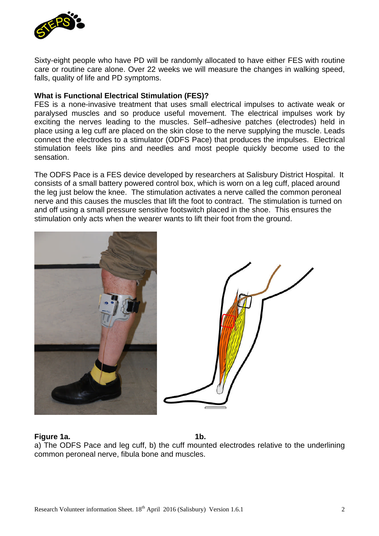

Sixty-eight people who have PD will be randomly allocated to have either FES with routine care or routine care alone. Over 22 weeks we will measure the changes in walking speed, falls, quality of life and PD symptoms.

### **What is Functional Electrical Stimulation (FES)?**

FES is a none-invasive treatment that uses small electrical impulses to activate weak or paralysed muscles and so produce useful movement. The electrical impulses work by exciting the nerves leading to the muscles. Self–adhesive patches (electrodes) held in place using a leg cuff are placed on the skin close to the nerve supplying the muscle. Leads connect the electrodes to a stimulator (ODFS Pace) that produces the impulses. Electrical stimulation feels like pins and needles and most people quickly become used to the sensation.

The ODFS Pace is a FES device developed by researchers at Salisbury District Hospital. It consists of a small battery powered control box, which is worn on a leg cuff, placed around the leg just below the knee. The stimulation activates a nerve called the common peroneal nerve and this causes the muscles that lift the foot to contract. The stimulation is turned on and off using a small pressure sensitive footswitch placed in the shoe. This ensures the stimulation only acts when the wearer wants to lift their foot from the ground.



#### **Figure 1a.** 1b.

a) The ODFS Pace and leg cuff, b) the cuff mounted electrodes relative to the underlining common peroneal nerve, fibula bone and muscles.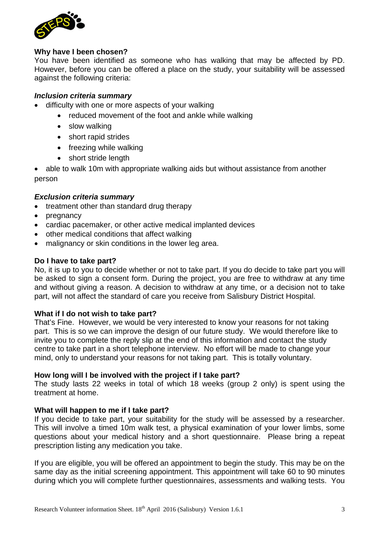

### **Why have I been chosen?**

You have been identified as someone who has walking that may be affected by PD. However, before you can be offered a place on the study, your suitability will be assessed against the following criteria:

### *Inclusion criteria summary*

- difficulty with one or more aspects of your walking
	- reduced movement of the foot and ankle while walking
	- slow walking
	- short rapid strides
	- freezing while walking
	- short stride length

• able to walk 10m with appropriate walking aids but without assistance from another person

### *Exclusion criteria summary*

- treatment other than standard drug therapy
- pregnancy
- cardiac pacemaker, or other active medical implanted devices
- other medical conditions that affect walking
- malignancy or skin conditions in the lower leg area.

#### **Do I have to take part?**

No, it is up to you to decide whether or not to take part. If you do decide to take part you will be asked to sign a consent form. During the project, you are free to withdraw at any time and without giving a reason. A decision to withdraw at any time, or a decision not to take part, will not affect the standard of care you receive from Salisbury District Hospital.

#### **What if I do not wish to take part?**

That's Fine. However, we would be very interested to know your reasons for not taking part. This is so we can improve the design of our future study. We would therefore like to invite you to complete the reply slip at the end of this information and contact the study centre to take part in a short telephone interview. No effort will be made to change your mind, only to understand your reasons for not taking part. This is totally voluntary.

#### **How long will I be involved with the project if I take part?**

The study lasts 22 weeks in total of which 18 weeks (group 2 only) is spent using the treatment at home.

#### **What will happen to me if I take part?**

If you decide to take part, your suitability for the study will be assessed by a researcher. This will involve a timed 10m walk test, a physical examination of your lower limbs, some questions about your medical history and a short questionnaire. Please bring a repeat prescription listing any medication you take.

If you are eligible, you will be offered an appointment to begin the study. This may be on the same day as the initial screening appointment. This appointment will take 60 to 90 minutes during which you will complete further questionnaires, assessments and walking tests. You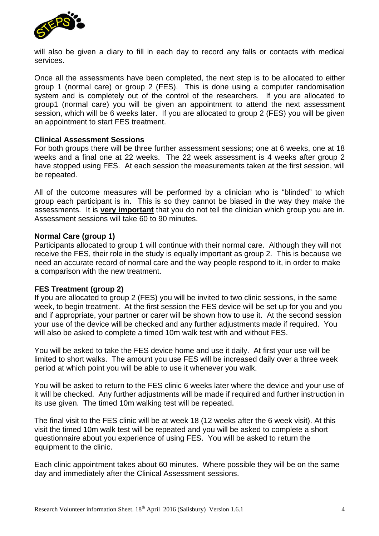

will also be given a diary to fill in each day to record any falls or contacts with medical services.

Once all the assessments have been completed, the next step is to be allocated to either group 1 (normal care) or group 2 (FES). This is done using a computer randomisation system and is completely out of the control of the researchers. If you are allocated to group1 (normal care) you will be given an appointment to attend the next assessment session, which will be 6 weeks later. If you are allocated to group 2 (FES) you will be given an appointment to start FES treatment.

#### **Clinical Assessment Sessions**

For both groups there will be three further assessment sessions; one at 6 weeks, one at 18 weeks and a final one at 22 weeks. The 22 week assessment is 4 weeks after group 2 have stopped using FES. At each session the measurements taken at the first session, will be repeated.

All of the outcome measures will be performed by a clinician who is "blinded" to which group each participant is in. This is so they cannot be biased in the way they make the assessments. It is **very important** that you do not tell the clinician which group you are in. Assessment sessions will take 60 to 90 minutes.

#### **Normal Care (group 1)**

Participants allocated to group 1 will continue with their normal care. Although they will not receive the FES, their role in the study is equally important as group 2. This is because we need an accurate record of normal care and the way people respond to it, in order to make a comparison with the new treatment.

#### **FES Treatment (group 2)**

If you are allocated to group 2 (FES) you will be invited to two clinic sessions, in the same week, to begin treatment. At the first session the FES device will be set up for you and you and if appropriate, your partner or carer will be shown how to use it. At the second session your use of the device will be checked and any further adjustments made if required. You will also be asked to complete a timed 10m walk test with and without FES.

You will be asked to take the FES device home and use it daily. At first your use will be limited to short walks. The amount you use FES will be increased daily over a three week period at which point you will be able to use it whenever you walk.

You will be asked to return to the FES clinic 6 weeks later where the device and your use of it will be checked. Any further adjustments will be made if required and further instruction in its use given. The timed 10m walking test will be repeated.

The final visit to the FES clinic will be at week 18 (12 weeks after the 6 week visit). At this visit the timed 10m walk test will be repeated and you will be asked to complete a short questionnaire about you experience of using FES. You will be asked to return the equipment to the clinic.

Each clinic appointment takes about 60 minutes. Where possible they will be on the same day and immediately after the Clinical Assessment sessions.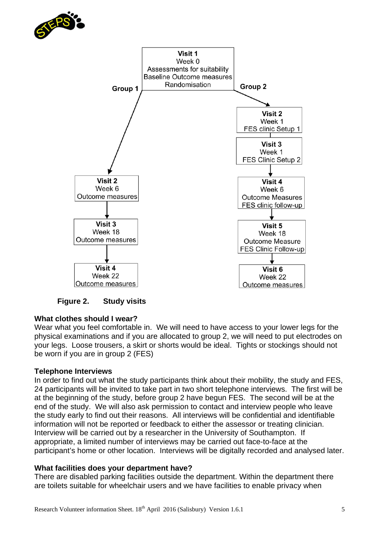



**Figure 2. Study visits**

# **What clothes should I wear?**

Wear what you feel comfortable in. We will need to have access to your lower legs for the physical examinations and if you are allocated to group 2, we will need to put electrodes on your legs. Loose trousers, a skirt or shorts would be ideal. Tights or stockings should not be worn if you are in group 2 (FES)

### **Telephone Interviews**

In order to find out what the study participants think about their mobility, the study and FES, 24 participants will be invited to take part in two short telephone interviews. The first will be at the beginning of the study, before group 2 have begun FES. The second will be at the end of the study. We will also ask permission to contact and interview people who leave the study early to find out their reasons. All interviews will be confidential and identifiable information will not be reported or feedback to either the assessor or treating clinician. Interview will be carried out by a researcher in the University of Southampton. If appropriate, a limited number of interviews may be carried out face-to-face at the participant's home or other location. Interviews will be digitally recorded and analysed later.

### **What facilities does your department have?**

There are disabled parking facilities outside the department. Within the department there are toilets suitable for wheelchair users and we have facilities to enable privacy when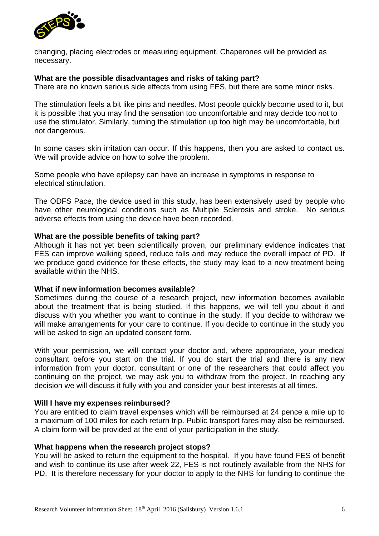

changing, placing electrodes or measuring equipment. Chaperones will be provided as necessary.

### **What are the possible disadvantages and risks of taking part?**

There are no known serious side effects from using FES, but there are some minor risks.

The stimulation feels a bit like pins and needles. Most people quickly become used to it, but it is possible that you may find the sensation too uncomfortable and may decide too not to use the stimulator. Similarly, turning the stimulation up too high may be uncomfortable, but not dangerous.

In some cases skin irritation can occur. If this happens, then you are asked to contact us. We will provide advice on how to solve the problem.

Some people who have epilepsy can have an increase in symptoms in response to electrical stimulation.

The ODFS Pace, the device used in this study, has been extensively used by people who have other neurological conditions such as Multiple Sclerosis and stroke. No serious adverse effects from using the device have been recorded.

### **What are the possible benefits of taking part?**

Although it has not yet been scientifically proven, our preliminary evidence indicates that FES can improve walking speed, reduce falls and may reduce the overall impact of PD. If we produce good evidence for these effects, the study may lead to a new treatment being available within the NHS.

### **What if new information becomes available?**

Sometimes during the course of a research project, new information becomes available about the treatment that is being studied. If this happens, we will tell you about it and discuss with you whether you want to continue in the study. If you decide to withdraw we will make arrangements for your care to continue. If you decide to continue in the study you will be asked to sign an updated consent form.

With your permission, we will contact your doctor and, where appropriate, your medical consultant before you start on the trial. If you do start the trial and there is any new information from your doctor, consultant or one of the researchers that could affect you continuing on the project, we may ask you to withdraw from the project. In reaching any decision we will discuss it fully with you and consider your best interests at all times.

#### **Will I have my expenses reimbursed?**

You are entitled to claim travel expenses which will be reimbursed at 24 pence a mile up to a maximum of 100 miles for each return trip. Public transport fares may also be reimbursed. A claim form will be provided at the end of your participation in the study.

#### **What happens when the research project stops?**

You will be asked to return the equipment to the hospital. If you have found FES of benefit and wish to continue its use after week 22, FES is not routinely available from the NHS for PD. It is therefore necessary for your doctor to apply to the NHS for funding to continue the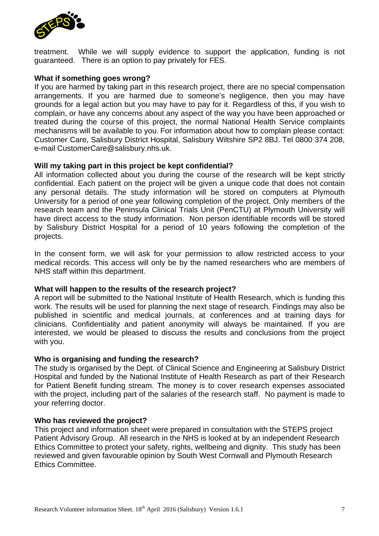

treatment. While we will supply evidence to support the application, funding is not guaranteed. There is an option to pay privately for FES.

### **What if something goes wrong?**

If you are harmed by taking part in this research project, there are no special compensation arrangements. If you are harmed due to someone's negligence, then you may have grounds for a legal action but you may have to pay for it. Regardless of this, if you wish to complain, or have any concerns about any aspect of the way you have been approached or treated during the course of this project, the normal National Health Service complaints mechanisms will be available to you. For information about how to complain please contact: Customer Care, Salisbury District Hospital, Salisbury Wiltshire SP2 8BJ. Tel 0800 374 208, e-mail CustomerCare@salisbury.nhs.uk.

### **Will my taking part in this project be kept confidential?**

All information collected about you during the course of the research will be kept strictly confidential. Each patient on the project will be given a unique code that does not contain any personal details. The study information will be stored on computers at Plymouth University for a period of one year following completion of the project. Only members of the research team and the Peninsula Clinical Trials Unit (PenCTU) at Plymouth University will have direct access to the study information. Non person identifiable records will be stored by Salisbury District Hospital for a period of 10 years following the completion of the projects.

In the consent form, we will ask for your permission to allow restricted access to your medical records. This access will only be by the named researchers who are members of NHS staff within this department.

### **What will happen to the results of the research project?**

A report will be submitted to the National Institute of Health Research, which is funding this work. The results will be used for planning the next stage of research. Findings may also be published in scientific and medical journals, at conferences and at training days for clinicians. Confidentiality and patient anonymity will always be maintained. If you are interested, we would be pleased to discuss the results and conclusions from the project with you.

### **Who is organising and funding the research?**

The study is organised by the Dept. of Clinical Science and Engineering at Salisbury District Hospital and funded by the National Institute of Health Research as part of their Research for Patient Benefit funding stream. The money is to cover research expenses associated with the project, including part of the salaries of the research staff. No payment is made to your referring doctor.

#### **Who has reviewed the project?**

This project and information sheet were prepared in consultation with the STEPS project Patient Advisory Group. All research in the NHS is looked at by an independent Research Ethics Committee to protect your safety, rights, wellbeing and dignity. This study has been reviewed and given favourable opinion by South West Cornwall and Plymouth Research Ethics Committee.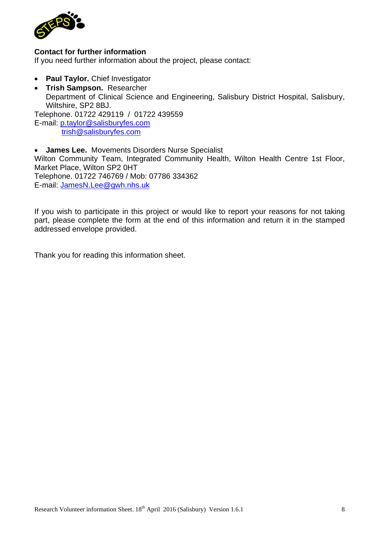

### **Contact for further information**

If you need further information about the project, please contact:

- **Paul Taylor.** Chief Investigator
- **Trish Sampson.** Researcher Department of Clinical Science and Engineering, Salisbury District Hospital, Salisbury, Wiltshire, SP2 8BJ. Telephone. 01722 429119 / 01722 439559

E-mail: p.taylor@salisburyfes.com trish@salisburyfes.com

 **James Lee.** Movements Disorders Nurse Specialist Wilton Community Team, Integrated Community Health, Wilton Health Centre 1st Floor, Market Place, Wilton SP2 0HT Telephone. 01722 746769 / Mob: 07786 334362 E-mail: JamesN.Lee@gwh.nhs.uk

If you wish to participate in this project or would like to report your reasons for not taking part, please complete the form at the end of this information and return it in the stamped addressed envelope provided.

Thank you for reading this information sheet.